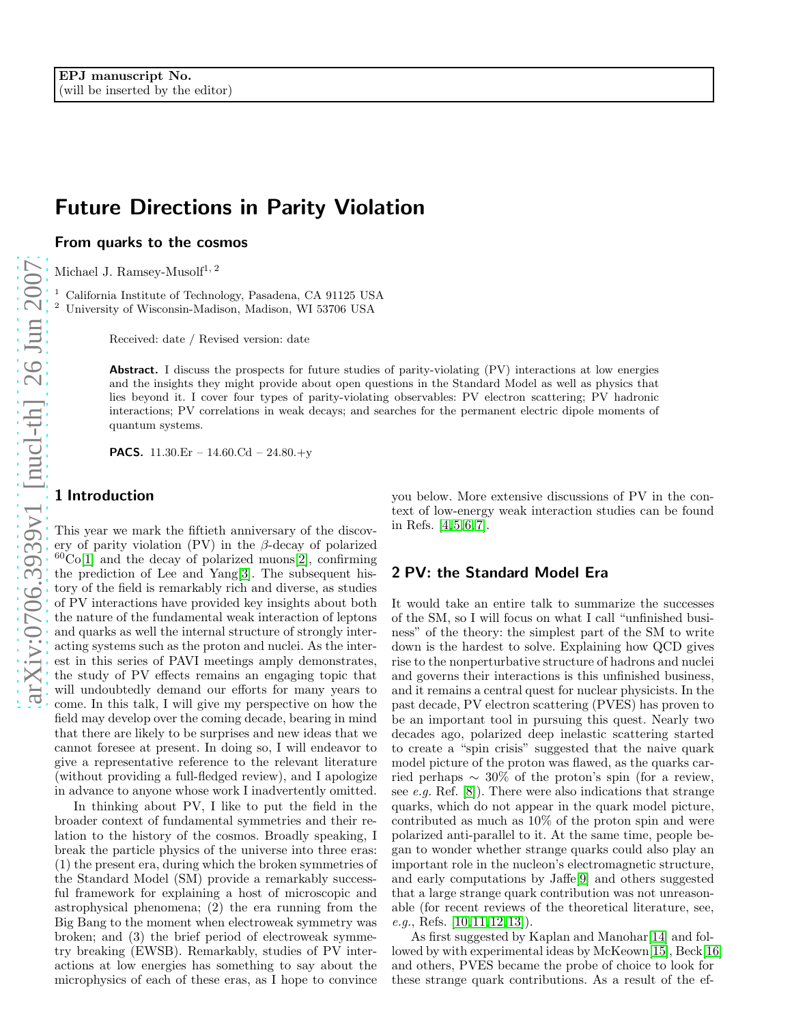# Future Directions in Parity Violation

From quarks to the cosmos

Michael J. Ramsey-Musolf<sup>1, 2</sup>

<sup>1</sup> California Institute of Technology, Pasadena, CA 91125 USA <sup>2</sup> University of Wisconsin-Madison, Madison, WI 53706 USA

Received: date / Revised version: date

Abstract. I discuss the prospects for future studies of parity-violating (PV) interactions at low energies and the insights they might provide about open questions in the Standard Model as well as physics that lies beyond it. I cover four types of parity-violating observables: PV electron scattering; PV hadronic interactions; PV correlations in weak decays; and searches for the permanent electric dipole moments of quantum systems.

**PACS.** 11.30.Er – 14.60.Cd – 24.80.+y

## 1 Introduction

This year we mark the fiftieth anniversary of the discovery of parity violation (PV) in the  $\beta$ -decay of polarized  ${}^{60}Co[1]$  ${}^{60}Co[1]$  and the decay of polarized muons[\[2\]](#page-8-1), confirming the prediction of Lee and Yang[\[3\]](#page-8-2). The subsequent history of the field is remarkably rich and diverse, as studies of PV interactions have provided key insights about both the nature of the fundamental weak interaction of leptons and quarks as well the internal structure of strongly interacting systems such as the proton and nuclei. As the interest in this series of PAVI meetings amply demonstrates, the study of PV effects remains an engaging topic that will undoubtedly demand our efforts for many years to come. In this talk, I will give my perspective on how the field may develop over the coming decade, bearing in mind that there are likely to be surprises and new ideas that we cannot foresee at present. In doing so, I will endeavor to give a representative reference to the relevant literature (without providing a full-fledged review), and I apologize in advance to anyone whose work I inadvertently omitted.

In thinking about PV, I like to put the field in the broader context of fundamental symmetries and their relation to the history of the cosmos. Broadly speaking, I break the particle physics of the universe into three eras: (1) the present era, during which the broken symmetries of the Standard Model (SM) provide a remarkably successful framework for explaining a host of microscopic and astrophysical phenomena; (2) the era running from the Big Bang to the moment when electroweak symmetry was broken; and (3) the brief period of electroweak symmetry breaking (EWSB). Remarkably, studies of PV interactions at low energies has something to say about the microphysics of each of these eras, as I hope to convince

you below. More extensive discussions of PV in the context of low-energy weak interaction studies can be found in Refs. [\[4,](#page-8-3)[5,](#page-8-4)[6,](#page-8-5)[7\]](#page-8-6).

# 2 PV: the Standard Model Era

It would take an entire talk to summarize the successes of the SM, so I will focus on what I call "unfinished business" of the theory: the simplest part of the SM to write down is the hardest to solve. Explaining how QCD gives rise to the nonperturbative structure of hadrons and nuclei and governs their interactions is this unfinished business, and it remains a central quest for nuclear physicists. In the past decade, PV electron scattering (PVES) has proven to be an important tool in pursuing this quest. Nearly two decades ago, polarized deep inelastic scattering started to create a "spin crisis" suggested that the naive quark model picture of the proton was flawed, as the quarks carried perhaps  $\sim 30\%$  of the proton's spin (for a review, see  $e.g.$  Ref.  $[8]$ ). There were also indications that strange quarks, which do not appear in the quark model picture, contributed as much as 10% of the proton spin and were polarized anti-parallel to it. At the same time, people began to wonder whether strange quarks could also play an important role in the nucleon's electromagnetic structure , and early computations by Jaffe[\[9\]](#page-8-8) and others suggested that a large strange quark contribution was not unreasonable (for recent reviews of the theoretical literature, see,  $e.g.,$  Refs. [\[10,](#page-8-9) [11,](#page-8-10) [12,](#page-8-11) [13\]](#page-8-12)).

As first suggested by Kaplan and Manohar[\[14\]](#page-8-13) and followed by with experimental ideas by McKeown[\[15\]](#page-8-14), Beck[\[16\]](#page-8-15) and others, PVES became the probe of choice to look for these strange quark contributions. As a result of the ef-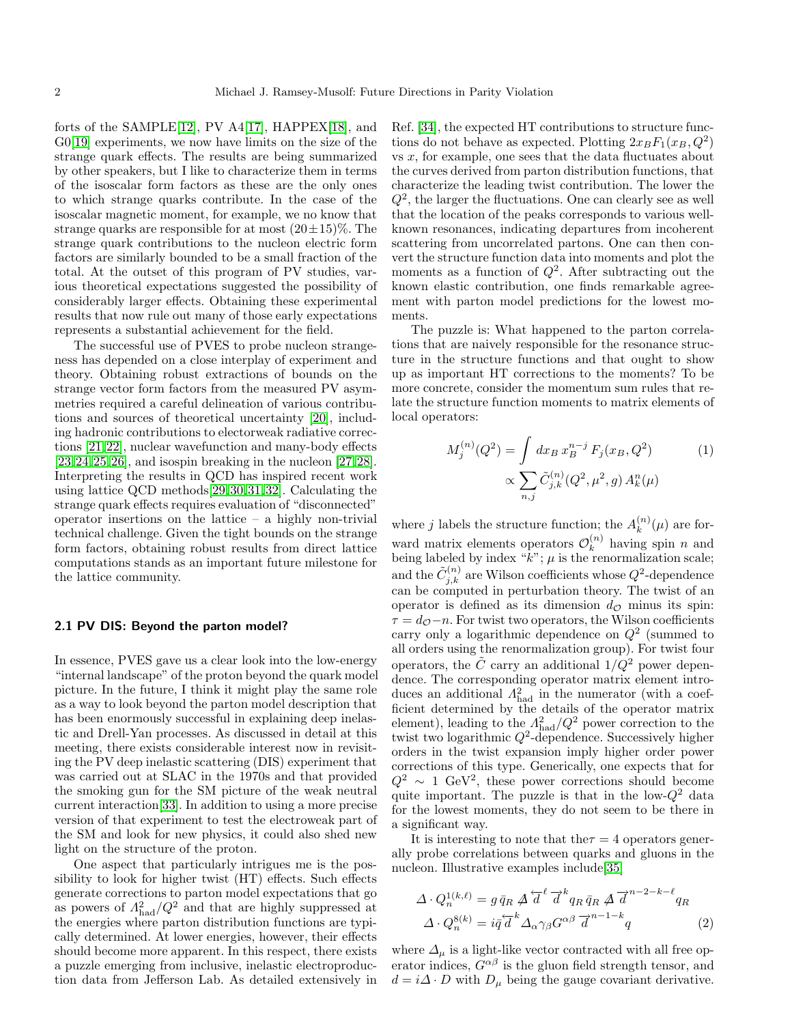forts of the SAMPLE[\[12\]](#page-8-11), PV A4[\[17\]](#page-8-16), HAPPEX[\[18\]](#page-8-17), and G0[\[19\]](#page-8-18) experiments, we now have limits on the size of the strange quark effects. The results are being summarized by other speakers, but I like to characterize them in terms of the isoscalar form factors as these are the only ones to which strange quarks contribute. In the case of the isoscalar magnetic moment, for example, we no know that strange quarks are responsible for at most  $(20\pm15)\%$ . The strange quark contributions to the nucleon electric form factors are similarly bounded to be a small fraction of the total. At the outset of this program of PV studies, various theoretical expectations suggested the possibility of considerably larger effects. Obtaining these experimental results that now rule out many of those early expectations represents a substantial achievement for the field.

The successful use of PVES to probe nucleon strangeness has depended on a close interplay of experiment and theory. Obtaining robust extractions of bounds on the strange vector form factors from the measured PV asymmetries required a careful delineation of various contributions and sources of theoretical uncertainty [\[20\]](#page-8-19), including hadronic contributions to electorweak radiative corrections [\[21,](#page-8-20)[22\]](#page-8-21), nuclear wavefunction and many-body effects [\[23,](#page-8-22)[24,](#page-8-23)[25,](#page-8-24)[26\]](#page-8-25), and isospin breaking in the nucleon [\[27,](#page-8-26)[28\]](#page-8-27). Interpreting the results in QCD has inspired recent work using lattice QCD methods[\[29,](#page-8-28)[30,](#page-8-29)[31,](#page-8-30)[32\]](#page-8-31). Calculating the strange quark effects requires evaluation of "disconnected" operator insertions on the lattice  $-$  a highly non-trivial technical challenge. Given the tight bounds on the strange form factors, obtaining robust results from direct lattice computations stands as an important future milestone for the lattice community.

#### 2.1 PV DIS: Beyond the parton model?

In essence, PVES gave us a clear look into the low-energy "internal landscape" of the proton beyond the quark model picture. In the future, I think it might play the same role as a way to look beyond the parton model description that has been enormously successful in explaining deep inelastic and Drell-Yan processes. As discussed in detail at this meeting, there exists considerable interest now in revisiting the PV deep inelastic scattering (DIS) experiment that was carried out at SLAC in the 1970s and that provided the smoking gun for the SM picture of the weak neutral current interaction[\[33\]](#page-8-32). In addition to using a more precise version of that experiment to test the electroweak part of the SM and look for new physics, it could also shed new light on the structure of the proton.

One aspect that particularly intrigues me is the possibility to look for higher twist (HT) effects. Such effects generate corrections to parton model expectations that go as powers of  $\Lambda_{\text{had}}^2/Q^2$  and that are highly suppressed at the energies where parton distribution functions are typically determined. At lower energies, however, their effects should become more apparent. In this respect, there exists a puzzle emerging from inclusive, inelastic electroproduction data from Jefferson Lab. As detailed extensively in Ref. [\[34\]](#page-8-33), the expected HT contributions to structure functions do not behave as expected. Plotting  $2x_B F_1(x_B, Q^2)$ vs  $x$ , for example, one sees that the data fluctuates about the curves derived from parton distribution functions, that characterize the leading twist contribution. The lower the  $Q^2$ , the larger the fluctuations. One can clearly see as well that the location of the peaks corresponds to various wellknown resonances, indicating departures from incoherent scattering from uncorrelated partons. One can then convert the structure function data into moments and plot the moments as a function of  $Q^2$ . After subtracting out the known elastic contribution, one finds remarkable agreement with parton model predictions for the lowest moments.

The puzzle is: What happened to the parton correlations that are naively responsible for the resonance structure in the structure functions and that ought to show up as important HT corrections to the moments? To be more concrete, consider the momentum sum rules that relate the structure function moments to matrix elements of local operators:

$$
M_j^{(n)}(Q^2) = \int dx_B x_B^{n-j} F_j(x_B, Q^2)
$$
 (1)  

$$
\propto \sum_{n,j} \tilde{C}_{j,k}^{(n)}(Q^2, \mu^2, g) A_k^n(\mu)
$$

where j labels the structure function; the  $A_k^{(n)}(\mu)$  are fork ward matrix elements operators  $\mathcal{O}_k^{(n)}$  $\binom{n}{k}$  having spin *n* and being labeled by index " $k$ ";  $\mu$  is the renormalization scale; and the  $\tilde{C}_{j,k}^{(n)}$  are Wilson coefficients whose  $Q^2$ -dependence can be computed in perturbation theory. The twist of an operator is defined as its dimension  $d_{\mathcal{O}}$  minus its spin:  $\tau = d_{\mathcal{O}} - n$ . For twist two operators, the Wilson coefficients carry only a logarithmic dependence on  $Q^2$  (summed to all orders using the renormalization group). For twist four operators, the  $\tilde{C}$  carry an additional  $1/Q^2$  power dependence. The corresponding operator matrix element introduces an additional  $\Lambda_{\text{had}}^2$  in the numerator (with a coefficient determined by the details of the operator matrix element), leading to the  $\Lambda_{\text{had}}^2/Q^2$  power correction to the twist two logarithmic  $Q^2$ -dependence. Successively higher orders in the twist expansion imply higher order power corrections of this type. Generically, one expects that for  $Q^2 \sim 1$  GeV<sup>2</sup>, these power corrections should become quite important. The puzzle is that in the low- $Q^2$  data for the lowest moments, they do not seem to be there in a significant way.

It is interesting to note that the  $\tau = 4$  operators generally probe correlations between quarks and gluons in the nucleon. Illustrative examples include[\[35\]](#page-8-34)

<span id="page-1-0"></span>
$$
\Delta \cdot Q_n^{1(k,\ell)} = g \,\bar{q}_R \, \Delta \, \overleftarrow{d}^{\ell} \, \overrightarrow{d}^k q_R \,\bar{q}_R \, \Delta \, \overrightarrow{d}^{n-2-k-\ell} q_R
$$

$$
\Delta \cdot Q_n^{8(k)} = i \overrightarrow{q}^{\, \prime} \overrightarrow{d}^k \Delta_\alpha \gamma_\beta G^{\alpha\beta} \, \overrightarrow{d}^{n-1-k} q \tag{2}
$$

where  $\Delta_{\mu}$  is a light-like vector contracted with all free operator indices,  $G^{\alpha\beta}$  is the gluon field strength tensor, and  $d = i\Delta \cdot D$  with  $D_{\mu}$  being the gauge covariant derivative.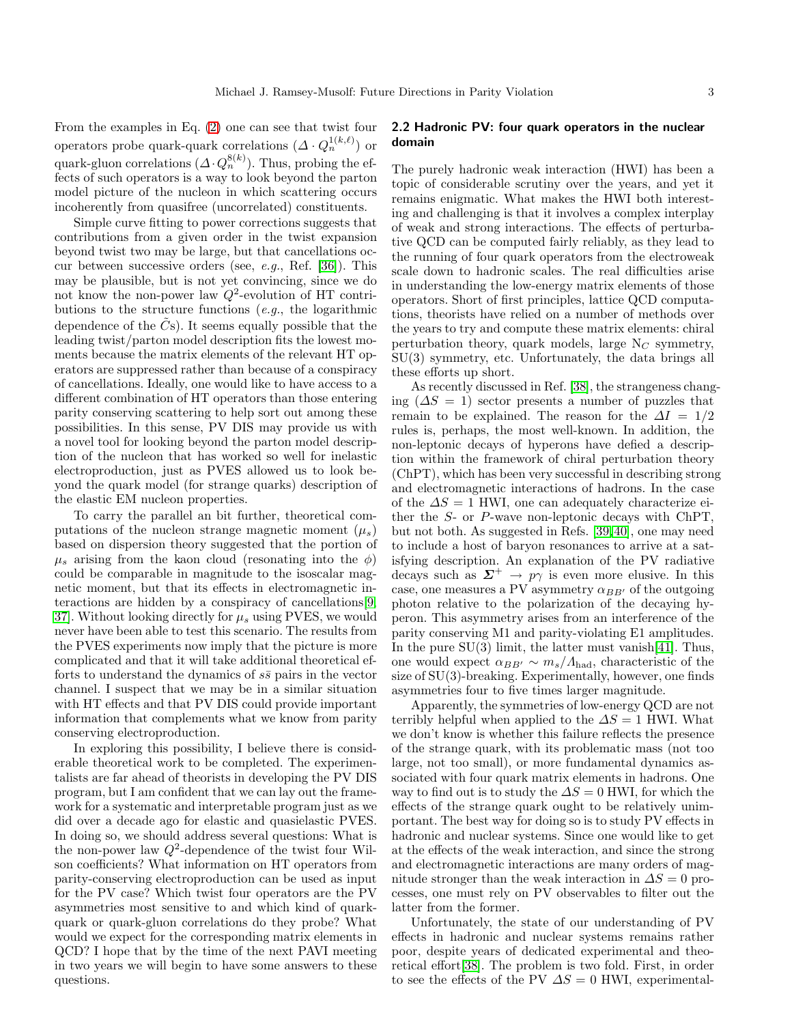From the examples in Eq. [\(2\)](#page-1-0) one can see that twist four operators probe quark-quark correlations  $(\Delta \cdot Q_n^{1(k,\ell)})$  or quark-gluon correlations  $(\Delta \cdot Q_n^{8(k)})$ . Thus, probing the effects of such operators is a way to look beyond the parton model picture of the nucleon in which scattering occurs incoherently from quasifree (uncorrelated) constituents.

Simple curve fitting to power corrections suggests that contributions from a given order in the twist expansion beyond twist two may be large, but that cancellations occur between successive orders (see, e.g., Ref. [\[36\]](#page-8-35)). This may be plausible, but is not yet convincing, since we do not know the non-power law  $Q^2$ -evolution of HT contributions to the structure functions (e.g., the logarithmic dependence of the  $\tilde{C}$ s). It seems equally possible that the leading twist/parton model description fits the lowest moments because the matrix elements of the relevant HT operators are suppressed rather than because of a conspiracy of cancellations. Ideally, one would like to have access to a different combination of HT operators than those entering parity conserving scattering to help sort out among these possibilities. In this sense, PV DIS may provide us with a novel tool for looking beyond the parton model description of the nucleon that has worked so well for inelastic electroproduction, just as PVES allowed us to look beyond the quark model (for strange quarks) description of the elastic EM nucleon properties.

To carry the parallel an bit further, theoretical computations of the nucleon strange magnetic moment  $(\mu_s)$ based on dispersion theory suggested that the portion of  $\mu_s$  arising from the kaon cloud (resonating into the  $\phi$ ) could be comparable in magnitude to the isoscalar magnetic moment, but that its effects in electromagnetic interactions are hidden by a conspiracy of cancellations[\[9,](#page-8-8) 37. Without looking directly for  $\mu_s$  using PVES, we would never have been able to test this scenario. The results from the PVES experiments now imply that the picture is more complicated and that it will take additional theoretical efforts to understand the dynamics of  $s\bar{s}$  pairs in the vector channel. I suspect that we may be in a similar situation with HT effects and that PV DIS could provide important information that complements what we know from parity conserving electroproduction.

In exploring this possibility, I believe there is considerable theoretical work to be completed. The experimentalists are far ahead of theorists in developing the PV DIS program, but I am confident that we can lay out the framework for a systematic and interpretable program just as we did over a decade ago for elastic and quasielastic PVES. In doing so, we should address several questions: What is the non-power law  $Q^2$ -dependence of the twist four Wilson coefficients? What information on HT operators from parity-conserving electroproduction can be used as input for the PV case? Which twist four operators are the PV asymmetries most sensitive to and which kind of quarkquark or quark-gluon correlations do they probe? What would we expect for the corresponding matrix elements in QCD? I hope that by the time of the next PAVI meeting in two years we will begin to have some answers to these questions.

### 2.2 Hadronic PV: four quark operators in the nuclear domain

The purely hadronic weak interaction (HWI) has been a topic of considerable scrutiny over the years, and yet it remains enigmatic. What makes the HWI both interesting and challenging is that it involves a complex interplay of weak and strong interactions. The effects of perturbative QCD can be computed fairly reliably, as they lead to the running of four quark operators from the electroweak scale down to hadronic scales. The real difficulties arise in understanding the low-energy matrix elements of those operators. Short of first principles, lattice QCD computations, theorists have relied on a number of methods over the years to try and compute these matrix elements: chiral perturbation theory, quark models, large  $N_C$  symmetry, SU(3) symmetry, etc. Unfortunately, the data brings all these efforts up short.

As recently discussed in Ref. [\[38\]](#page-8-37), the strangeness changing  $(\Delta S = 1)$  sector presents a number of puzzles that remain to be explained. The reason for the  $\Delta I = 1/2$ rules is, perhaps, the most well-known. In addition, the non-leptonic decays of hyperons have defied a description within the framework of chiral perturbation theory (ChPT), which has been very successful in describing strong and electromagnetic interactions of hadrons. In the case of the  $\Delta S = 1$  HWI, one can adequately characterize either the S- or P-wave non-leptonic decays with ChPT, but not both. As suggested in Refs. [\[39,](#page-9-0)[40\]](#page-9-1), one may need to include a host of baryon resonances to arrive at a satisfying description. An explanation of the PV radiative decays such as  $\Sigma^+ \rightarrow p\gamma$  is even more elusive. In this case, one measures a PV asymmetry  $\alpha_{BB'}$  of the outgoing photon relative to the polarization of the decaying hyperon. This asymmetry arises from an interference of the parity conserving M1 and parity-violating E1 amplitudes. In the pure  $SU(3)$  limit, the latter must vanish[\[41\]](#page-9-2). Thus, one would expect  $\alpha_{BB'} \sim m_s/\Lambda_{\text{had}}$ , characteristic of the size of SU(3)-breaking. Experimentally, however, one finds asymmetries four to five times larger magnitude.

Apparently, the symmetries of low-energy QCD are not terribly helpful when applied to the  $\Delta S = 1$  HWI. What we don't know is whether this failure reflects the presence of the strange quark, with its problematic mass (not too large, not too small), or more fundamental dynamics associated with four quark matrix elements in hadrons. One way to find out is to study the  $\Delta S = 0$  HWI, for which the effects of the strange quark ought to be relatively unimportant. The best way for doing so is to study PV effects in hadronic and nuclear systems. Since one would like to get at the effects of the weak interaction, and since the strong and electromagnetic interactions are many orders of magnitude stronger than the weak interaction in  $\Delta S = 0$  processes, one must rely on PV observables to filter out the latter from the former.

Unfortunately, the state of our understanding of PV effects in hadronic and nuclear systems remains rather poor, despite years of dedicated experimental and theoretical effort[\[38\]](#page-8-37). The problem is two fold. First, in order to see the effects of the PV  $\Delta S = 0$  HWI, experimental-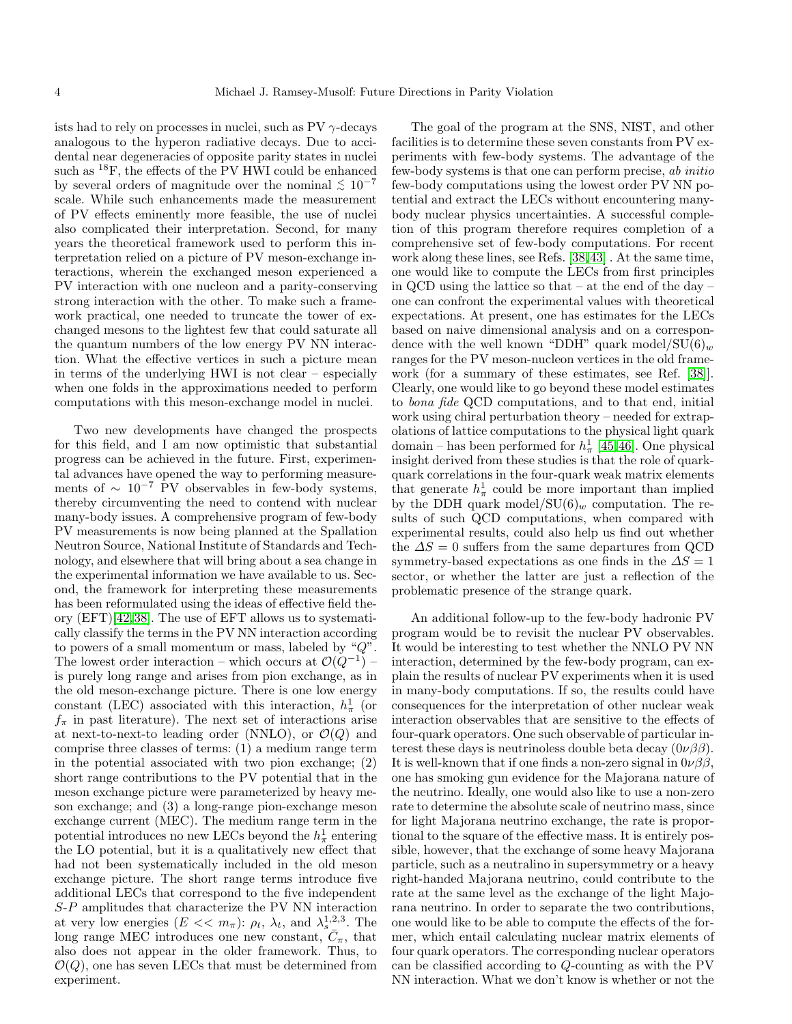ists had to rely on processes in nuclei, such as PV  $\gamma$ -decays analogous to the hyperon radiative decays. Due to accidental near degeneracies of opposite parity states in nuclei such as  $^{18}$ F, the effects of the PV HWI could be enhanced by several orders of magnitude over the nominal  $\lesssim 10^{-7}$ scale. While such enhancements made the measurement of PV effects eminently more feasible, the use of nuclei also complicated their interpretation. Second, for many years the theoretical framework used to perform this interpretation relied on a picture of PV meson-exchange interactions, wherein the exchanged meson experienced a PV interaction with one nucleon and a parity-conserving strong interaction with the other. To make such a framework practical, one needed to truncate the tower of exchanged mesons to the lightest few that could saturate all the quantum numbers of the low energy PV NN interaction. What the effective vertices in such a picture mean in terms of the underlying HWI is not clear – especially when one folds in the approximations needed to perform computations with this meson-exchange model in nuclei.

Two new developments have changed the prospects for this field, and I am now optimistic that substantial progress can be achieved in the future. First, experimental advances have opened the way to performing measurements of  $\sim 10^{-7}$  PV observables in few-body systems, thereby circumventing the need to contend with nuclear many-body issues. A comprehensive program of few-body PV measurements is now being planned at the Spallation Neutron Source, National Institute of Standards and Technology, and elsewhere that will bring about a sea change in the experimental information we have available to us. Second, the framework for interpreting these measurements has been reformulated using the ideas of effective field theory (EFT)[\[42,](#page-9-3)[38\]](#page-8-37). The use of EFT allows us to systematically classify the terms in the PV NN interaction according to powers of a small momentum or mass, labeled by " $Q$ ". The lowest order interaction – which occurs at  $\mathcal{O}(\tilde{Q}^{-1})$  – is purely long range and arises from pion exchange, as in the old meson-exchange picture. There is one low energy constant (LEC) associated with this interaction,  $h_{\pi}^1$  (or  $f_{\pi}$  in past literature). The next set of interactions arise at next-to-next-to leading order (NNLO), or  $\mathcal{O}(Q)$  and comprise three classes of terms: (1) a medium range term in the potential associated with two pion exchange; (2) short range contributions to the PV potential that in the meson exchange picture were parameterized by heavy meson exchange; and (3) a long-range pion-exchange meson exchange current (MEC). The medium range term in the potential introduces no new LECs beyond the  $h^1_\pi$  entering the LO potential, but it is a qualitatively new effect that had not been systematically included in the old meson exchange picture. The short range terms introduce five additional LECs that correspond to the five independent S-P amplitudes that characterize the PV NN interaction at very low energies  $(E \ll m_{\pi})$ :  $\rho_t$ ,  $\lambda_t$ , and  $\lambda_{s}^{1,2,3}$ . The long range MEC introduces one new constant,  $\overline{C}_{\pi}$ , that also does not appear in the older framework. Thus, to  $\mathcal{O}(Q)$ , one has seven LECs that must be determined from experiment.

The goal of the program at the SNS, NIST, and other facilities is to determine these seven constants from PV experiments with few-body systems. The advantage of the few-body systems is that one can perform precise, ab initio few-body computations using the lowest order PV NN potential and extract the LECs without encountering manybody nuclear physics uncertainties. A successful completion of this program therefore requires completion of a comprehensive set of few-body computations. For recent work along these lines, see Refs. [\[38,](#page-8-37)[43\]](#page-9-4) . At the same time, one would like to compute the LECs from first principles in QCD using the lattice so that – at the end of the day – one can confront the experimental values with theoretical expectations. At present, one has estimates for the LECs based on naive dimensional analysis and on a correspondence with the well known "DDH" quark model/ $SU(6)_w$ ranges for the PV meson-nucleon vertices in the old framework (for a summary of these estimates, see Ref. [\[38\]](#page-8-37)]. Clearly, one would like to go beyond these model estimates to bona fide QCD computations, and to that end, initial work using chiral perturbation theory – needed for extrapolations of lattice computations to the physical light quark domain – has been performed for  $h_{\pi}^{1}$  [\[45,](#page-9-5)[46\]](#page-9-6). One physical insight derived from these studies is that the role of quarkquark correlations in the four-quark weak matrix elements that generate  $h_{\pi}^1$  could be more important than implied by the DDH quark model/ $SU(6)_w$  computation. The results of such QCD computations, when compared with experimental results, could also help us find out whether the  $\Delta S = 0$  suffers from the same departures from QCD symmetry-based expectations as one finds in the  $\Delta S = 1$ sector, or whether the latter are just a reflection of the problematic presence of the strange quark.

An additional follow-up to the few-body hadronic PV program would be to revisit the nuclear PV observables. It would be interesting to test whether the NNLO PV NN interaction, determined by the few-body program, can explain the results of nuclear PV experiments when it is used in many-body computations. If so, the results could have consequences for the interpretation of other nuclear weak interaction observables that are sensitive to the effects of four-quark operators. One such observable of particular interest these days is neutrinoless double beta decay  $(0\nu\beta\beta)$ . It is well-known that if one finds a non-zero signal in  $0\nu\beta\beta$ , one has smoking gun evidence for the Majorana nature of the neutrino. Ideally, one would also like to use a non-zero rate to determine the absolute scale of neutrino mass, since for light Majorana neutrino exchange, the rate is proportional to the square of the effective mass. It is entirely possible, however, that the exchange of some heavy Majorana particle, such as a neutralino in supersymmetry or a heavy right-handed Majorana neutrino, could contribute to the rate at the same level as the exchange of the light Majorana neutrino. In order to separate the two contributions, one would like to be able to compute the effects of the former, which entail calculating nuclear matrix elements of four quark operators. The corresponding nuclear operators can be classified according to Q-counting as with the PV NN interaction. What we don't know is whether or not the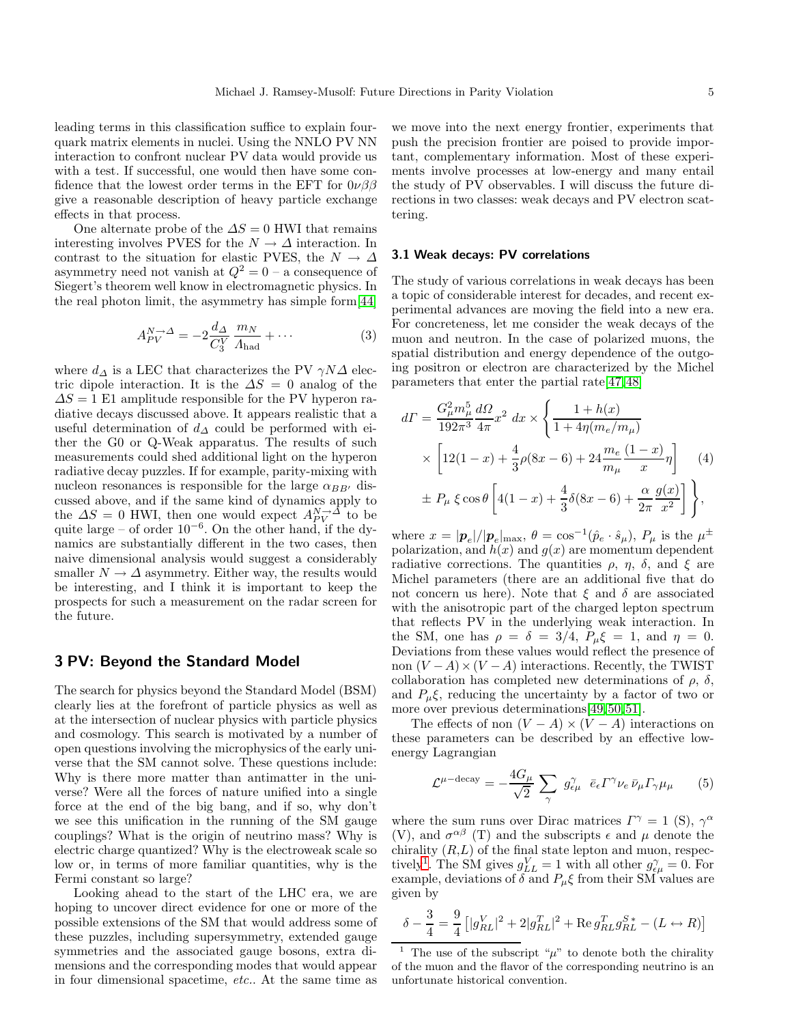leading terms in this classification suffice to explain fourquark matrix elements in nuclei. Using the NNLO PV NN interaction to confront nuclear PV data would provide us with a test. If successful, one would then have some confidence that the lowest order terms in the EFT for  $0\nu\beta\beta$ give a reasonable description of heavy particle exchange effects in that process.

One alternate probe of the  $\Delta S = 0$  HWI that remains interesting involves PVES for the  $N \to \Delta$  interaction. In contrast to the situation for elastic PVES, the  $N \to \Delta$ asymmetry need not vanish at  $Q^2 = 0$  – a consequence of Siegert's theorem well know in electromagnetic physics. In the real photon limit, the asymmetry has simple form[\[44\]](#page-9-7)

$$
A_{PV}^{N \to \Delta} = -2 \frac{d_{\Delta}}{C_3^V} \frac{m_N}{\Lambda_{\text{had}}} + \cdots
$$
 (3)

where  $d_{\Delta}$  is a LEC that characterizes the PV  $\gamma N\Delta$  electric dipole interaction. It is the  $\Delta S = 0$  analog of the  $\Delta S = 1$  E1 amplitude responsible for the PV hyperon radiative decays discussed above. It appears realistic that a useful determination of  $d\Delta$  could be performed with either the G0 or Q-Weak apparatus. The results of such measurements could shed additional light on the hyperon radiative decay puzzles. If for example, parity-mixing with nucleon resonances is responsible for the large  $\alpha_{BB'}$  discussed above, and if the same kind of dynamics apply to the  $\Delta S = 0$  HWI, then one would expect  $A_{PV}^{N\to\Delta}$  to be quite large – of order 10<sup>-6</sup>. On the other hand, if the dynamics are substantially different in the two cases, then naive dimensional analysis would suggest a considerably smaller  $N \to \Delta$  asymmetry. Either way, the results would be interesting, and I think it is important to keep the prospects for such a measurement on the radar screen for the future.

# 3 PV: Beyond the Standard Model

The search for physics beyond the Standard Model (BSM) clearly lies at the forefront of particle physics as well as at the intersection of nuclear physics with particle physics and cosmology. This search is motivated by a number of open questions involving the microphysics of the early universe that the SM cannot solve. These questions include: Why is there more matter than antimatter in the universe? Were all the forces of nature unified into a single force at the end of the big bang, and if so, why don't we see this unification in the running of the SM gauge couplings? What is the origin of neutrino mass? Why is electric charge quantized? Why is the electroweak scale so low or, in terms of more familiar quantities, why is the Fermi constant so large?

Looking ahead to the start of the LHC era, we are hoping to uncover direct evidence for one or more of the possible extensions of the SM that would address some of these puzzles, including supersymmetry, extended gauge symmetries and the associated gauge bosons, extra dimensions and the corresponding modes that would appear in four dimensional spacetime, etc.. At the same time as

we move into the next energy frontier, experiments that push the precision frontier are poised to provide important, complementary information. Most of these experiments involve processes at low-energy and many entail the study of PV observables. I will discuss the future directions in two classes: weak decays and PV electron scattering.

#### 3.1 Weak decays: PV correlations

The study of various correlations in weak decays has been a topic of considerable interest for decades, and recent experimental advances are moving the field into a new era. For concreteness, let me consider the weak decays of the muon and neutron. In the case of polarized muons, the spatial distribution and energy dependence of the outgoing positron or electron are characterized by the Michel parameters that enter the partial rate[\[47,](#page-9-8)[48\]](#page-9-9)

$$
d\Gamma = \frac{G_{\mu}^{2}m_{\mu}^{5}}{192\pi^{3}} \frac{d\Omega}{4\pi} x^{2} dx \times \left\{ \frac{1+h(x)}{1+4\eta(m_{e}/m_{\mu})} \times \left[ 12(1-x) + \frac{4}{3}\rho(8x-6) + 24\frac{m_{e}}{m_{\mu}} \frac{(1-x)}{x} \eta \right] \right\}
$$
  
 
$$
\pm P_{\mu} \xi \cos \theta \left[ 4(1-x) + \frac{4}{3}\delta(8x-6) + \frac{\alpha}{2\pi} \frac{g(x)}{x^{2}} \right] \Bigg\},
$$

where  $x = |\mathbf{p}_e|/|\mathbf{p}_e|_{\text{max}}, \theta = \cos^{-1}(\hat{p}_e \cdot \hat{s}_\mu), P_\mu$  is the  $\mu^{\pm}$ polarization, and  $h(x)$  and  $g(x)$  are momentum dependent radiative corrections. The quantities  $\rho$ ,  $\eta$ ,  $\delta$ , and  $\xi$  are Michel parameters (there are an additional five that do not concern us here). Note that  $\xi$  and  $\delta$  are associated with the anisotropic part of the charged lepton spectrum that reflects PV in the underlying weak interaction. In the SM, one has  $\rho = \delta = 3/4$ ,  $P_{\mu} \xi = 1$ , and  $\eta = 0$ . Deviations from these values would reflect the presence of non  $(V - A) \times (V - A)$  interactions. Recently, the TWIST collaboration has completed new determinations of  $\rho$ ,  $\delta$ , and  $P_{\mu}\xi$ , reducing the uncertainty by a factor of two or more over previous determinations [\[49,](#page-9-10) [50,](#page-9-11) [51\]](#page-9-12).

The effects of non  $(V - A) \times (V - A)$  interactions on these parameters can be described by an effective lowenergy Lagrangian

<span id="page-4-1"></span>
$$
\mathcal{L}^{\mu-\text{decay}} = -\frac{4G_{\mu}}{\sqrt{2}} \sum_{\gamma} g_{\epsilon\mu}^{\gamma} \ \bar{e}_{\epsilon} \Gamma^{\gamma} \nu_{e} \bar{\nu}_{\mu} \Gamma_{\gamma} \mu_{\mu} \qquad (5)
$$

where the sum runs over Dirac matrices  $\Gamma^{\gamma} = 1$  (S),  $\gamma^{\alpha}$ (V), and  $\sigma^{\alpha\beta}$  (T) and the subscripts  $\epsilon$  and  $\mu$  denote the chirality  $(R, L)$  of the final state lepton and muon, respec-tively<sup>[1](#page-4-0)</sup>. The SM gives  $g_{LL}^V = 1$  with all other  $g_{\epsilon\mu}^{\gamma} = 0$ . For example, deviations of  $\delta$  and  $P_\mu \xi$  from their SM values are given by

$$
\delta - \frac{3}{4} = \frac{9}{4} \left[ |g_{RL}^{V}|^2 + 2|g_{RL}^{T}|^2 + \text{Re} \, g_{RL}^{T} g_{RL}^{S*} - (L \leftrightarrow R) \right]
$$

<span id="page-4-0"></span><sup>&</sup>lt;sup>1</sup> The use of the subscript " $\mu$ " to denote both the chirality of the muon and the flavor of the corresponding neutrino is an unfortunate historical convention.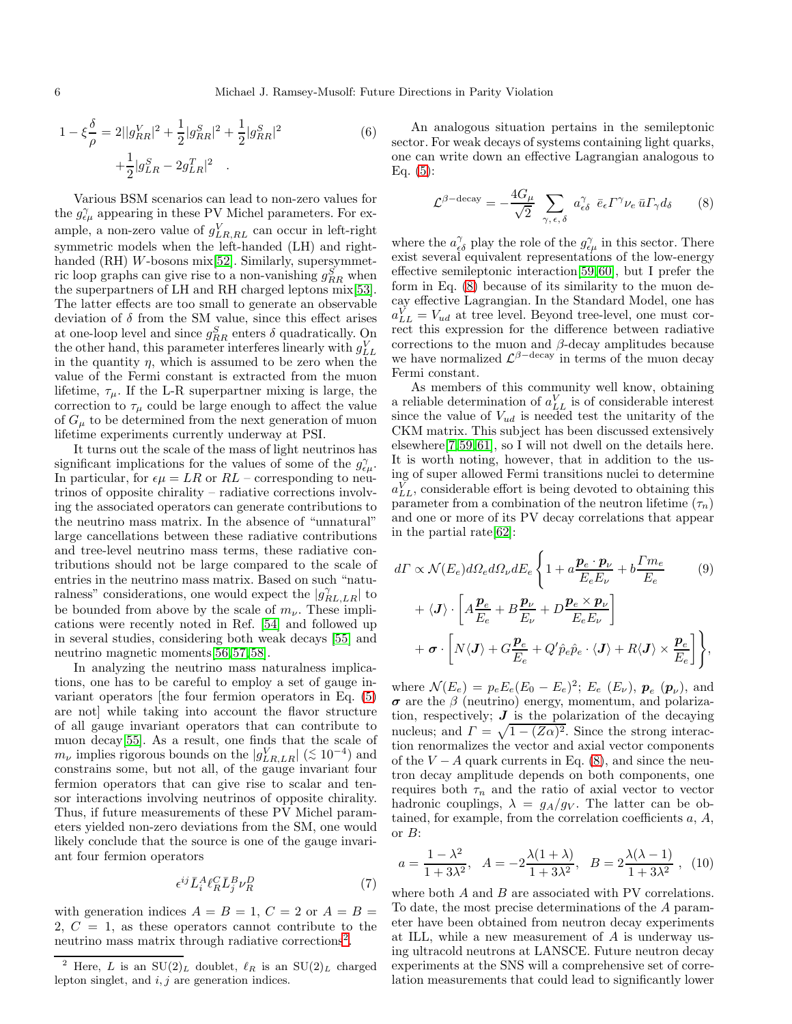$$
1 - \xi \frac{\delta}{\rho} = 2||g_{RR}^V|^2 + \frac{1}{2}|g_{RR}^S|^2 + \frac{1}{2}|g_{RR}^S|^2
$$
  
 
$$
+ \frac{1}{2}|g_{LR}^S - 2g_{LR}^T|^2
$$
 (6)

Various BSM scenarios can lead to non-zero values for the  $g_{\epsilon\mu}^{\gamma}$  appearing in these PV Michel parameters. For example, a non-zero value of  $g_{LR,RL}^V$  can occur in left-right symmetric models when the left-handed (LH) and right-handed (RH) W-bosons mix[\[52\]](#page-9-13). Similarly, supersymmetric loop graphs can give rise to a non-vanishing  $g_{RR}^S$  when the superpartners of LH and RH charged leptons mix[\[53\]](#page-9-14). The latter effects are too small to generate an observable deviation of  $\delta$  from the SM value, since this effect arises at one-loop level and since  $g_{RR}^S$  enters  $\delta$  quadratically. On the other hand, this parameter interferes linearly with  $g_{LL}^V$ in the quantity  $\eta$ , which is assumed to be zero when the value of the Fermi constant is extracted from the muon lifetime,  $\tau_{\mu}$ . If the L-R superpartner mixing is large, the correction to  $\tau_{\mu}$  could be large enough to affect the value of  $G_{\mu}$  to be determined from the next generation of muon lifetime experiments currently underway at PSI.

It turns out the scale of the mass of light neutrinos has significant implications for the values of some of the  $g_{\epsilon\mu}^{\gamma}$ . In particular, for  $\epsilon \mu = LR$  or  $RL$  – corresponding to neutrinos of opposite chirality – radiative corrections involving the associated operators can generate contributions to the neutrino mass matrix. In the absence of "unnatural" large cancellations between these radiative contributions and tree-level neutrino mass terms, these radiative contributions should not be large compared to the scale of entries in the neutrino mass matrix. Based on such "naturalness" considerations, one would expect the  $|g_{RL,LR}^{\gamma}|$  to be bounded from above by the scale of  $m_{\nu}$ . These implications were recently noted in Ref. [\[54\]](#page-9-15) and followed up in several studies, considering both weak decays [\[55\]](#page-9-16) and neutrino magnetic moments[\[56,](#page-9-17)[57,](#page-9-18)[58\]](#page-9-19).

In analyzing the neutrino mass naturalness implications, one has to be careful to employ a set of gauge invariant operators [the four fermion operators in Eq. [\(5\)](#page-4-1) are not] while taking into account the flavor structure of all gauge invariant operators that can contribute to muon decay[\[55\]](#page-9-16). As a result, one finds that the scale of  $m_{\nu}$  implies rigorous bounds on the  $|g_{LR,LR}^V|$  ( $\lesssim 10^{-4}$ ) and constrains some, but not all, of the gauge invariant four fermion operators that can give rise to scalar and tensor interactions involving neutrinos of opposite chirality. Thus, if future measurements of these PV Michel parameters yielded non-zero deviations from the SM, one would likely conclude that the source is one of the gauge invariant four fermion operators

$$
\epsilon^{ij}\bar{L}_i^A \ell_R^C \bar{L}_j^B \nu_R^D \tag{7}
$$

with generation indices  $A = B = 1, C = 2$  or  $A = B =$ 2,  $C = 1$ , as these operators cannot contribute to the neutrino mass matrix through radiative corrections<sup>[2](#page-5-0)</sup>.

An analogous situation pertains in the semileptonic sector. For weak decays of systems containing light quarks, one can write down an effective Lagrangian analogous to Eq.  $(5)$ :

<span id="page-5-1"></span>
$$
\mathcal{L}^{\beta-\text{decay}} = -\frac{4G_{\mu}}{\sqrt{2}} \sum_{\gamma,\,\epsilon,\,\delta} a_{\epsilon\delta}^{\gamma} \ \bar{e}_{\epsilon} \Gamma^{\gamma} \nu_{e} \bar{u} \Gamma_{\gamma} d_{\delta} \qquad (8)
$$

where the  $a_{\epsilon\delta}^{\gamma}$  play the role of the  $g_{\epsilon\mu}^{\gamma}$  in this sector. There exist several equivalent representations of the low-energy effective semileptonic interaction[\[59,](#page-9-20)[60\]](#page-9-21), but I prefer the form in Eq. [\(8\)](#page-5-1) because of its similarity to the muon decay effective Lagrangian. In the Standard Model, one has  $a_{LL}^V = V_{ud}$  at tree level. Beyond tree-level, one must correct this expression for the difference between radiative corrections to the muon and  $\beta$ -decay amplitudes because we have normalized  $\mathcal{L}^{\beta-\text{decay}}$  in terms of the muon decay Fermi constant.

As members of this community well know, obtaining a reliable determination of  $a_{LL}^V$  is of considerable interest since the value of  $V_{ud}$  is needed test the unitarity of the CKM matrix. This subject has been discussed extensively elsewhere[\[7,](#page-8-6)[59,](#page-9-20)[61\]](#page-9-22), so I will not dwell on the details here. It is worth noting, however, that in addition to the using of super allowed Fermi transitions nuclei to determine  $a_{LL}^V$ , considerable effort is being devoted to obtaining this parameter from a combination of the neutron lifetime  $(\tau_n)$ and one or more of its PV decay correlations that appear in the partial rate[\[62\]](#page-9-23):

<span id="page-5-2"></span>
$$
d\Gamma \propto \mathcal{N}(E_e) d\Omega_e d\Omega_\nu dE_e \left\{ 1 + a \frac{\mathcal{P}_e \cdot \mathcal{P}_\nu}{E_e E_\nu} + b \frac{\Gamma m_e}{E_e} \right\} + \langle \mathbf{J} \rangle \cdot \left[ A \frac{\mathcal{P}_e}{E_e} + B \frac{\mathcal{P}_\nu}{E_\nu} + D \frac{\mathcal{P}_e \times \mathcal{P}_\nu}{E_e E_\nu} \right] + \boldsymbol{\sigma} \cdot \left[ N \langle \mathbf{J} \rangle + G \frac{\mathcal{P}_e}{E_e} + Q' \hat{p}_e \hat{p}_e \cdot \langle \mathbf{J} \rangle + R \langle \mathbf{J} \rangle \times \frac{\mathcal{P}_e}{E_e} \right] \right\},
$$

where  $\mathcal{N}(E_e) = p_e E_e (E_0 - E_e)^2$ ;  $E_e (E_\nu)$ ,  $p_e (p_\nu)$ , and  $\sigma$  are the  $\beta$  (neutrino) energy, momentum, and polarization, respectively;  $J$  is the polarization of the decaying nucleus; and  $\Gamma = \sqrt{1 - (Z\alpha)^2}$ . Since the strong interaction renormalizes the vector and axial vector components of the  $V - A$  quark currents in Eq. [\(8\)](#page-5-1), and since the neutron decay amplitude depends on both components, one requires both  $\tau_n$  and the ratio of axial vector to vector hadronic couplings,  $\lambda = g_A/g_V$ . The latter can be obtained, for example, from the correlation coefficients  $a, A$ , or  $B$ :

$$
a = \frac{1 - \lambda^2}{1 + 3\lambda^2}
$$
,  $A = -2\frac{\lambda(1 + \lambda)}{1 + 3\lambda^2}$ ,  $B = 2\frac{\lambda(\lambda - 1)}{1 + 3\lambda^2}$ , (10)

where both A and B are associated with PV correlations. To date, the most precise determinations of the A parameter have been obtained from neutron decay experiments at ILL, while a new measurement of A is underway using ultracold neutrons at LANSCE. Future neutron decay experiments at the SNS will a comprehensive set of correlation measurements that could lead to significantly lower

<span id="page-5-0"></span><sup>&</sup>lt;sup>2</sup> Here, L is an SU(2)<sub>L</sub> doublet,  $\ell_R$  is an SU(2)<sub>L</sub> charged lepton singlet, and  $i, j$  are generation indices.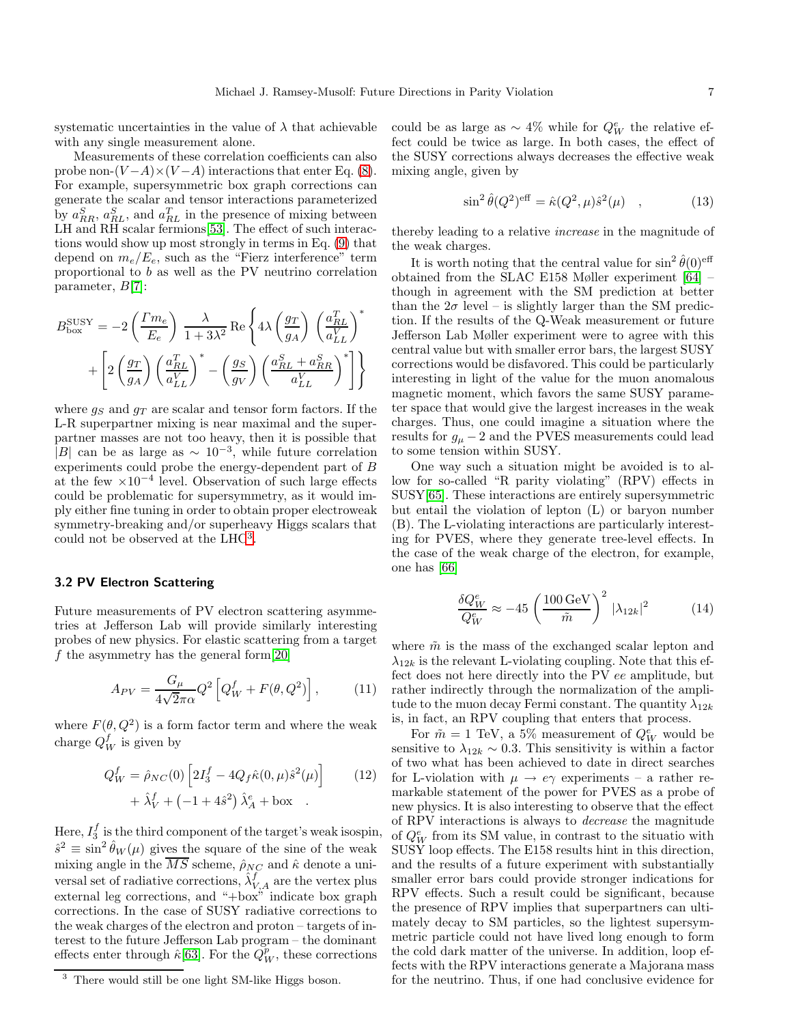systematic uncertainties in the value of  $\lambda$  that achievable with any single measurement alone.

Measurements of these correlation coefficients can also probe non- $(V-A)\times(V-A)$  interactions that enter Eq. [\(8\)](#page-5-1). For example, supersymmetric box graph corrections can generate the scalar and tensor interactions parameterized by  $a_{RR}^S$ ,  $a_{RL}^S$ , and  $a_{RL}^T$  in the presence of mixing between LH and RH scalar fermions[\[53\]](#page-9-14). The effect of such interactions would show up most strongly in terms in Eq. [\(9\)](#page-5-2) that depend on  $m_e/E_e$ , such as the "Fierz interference" term proportional to  $b$  as well as the PV neutrino correlation parameter, B[\[7\]](#page-8-6):

$$
B_{\text{box}}^{\text{SUSY}} = -2 \left( \frac{\Gamma m_e}{E_e} \right) \frac{\lambda}{1 + 3\lambda^2} \text{Re} \left\{ 4\lambda \left( \frac{g_T}{g_A} \right) \left( \frac{a_{RL}^T}{a_{LL}^V} \right)^* + \left[ 2 \left( \frac{g_T}{g_A} \right) \left( \frac{a_{RL}^T}{a_{LL}^V} \right)^* - \left( \frac{g_S}{g_V} \right) \left( \frac{a_{RL}^S + a_{RR}^S}{a_{LL}^V} \right)^* \right] \right\}
$$

where  $g_S$  and  $g_T$  are scalar and tensor form factors. If the L-R superpartner mixing is near maximal and the superpartner masses are not too heavy, then it is possible that  $|B|$  can be as large as ~ 10<sup>-3</sup>, while future correlation experiments could probe the energy-dependent part of B at the few  $\times 10^{-4}$  level. Observation of such large effects could be problematic for supersymmetry, as it would imply either fine tuning in order to obtain proper electroweak symmetry-breaking and/or superheavy Higgs scalars that could not be observed at the LHC<sup>[3](#page-6-0)</sup>.

#### 3.2 PV Electron Scattering

Future measurements of PV electron scattering asymmetries at Jefferson Lab will provide similarly interesting probes of new physics. For elastic scattering from a target f the asymmetry has the general form  $[20]$ 

$$
A_{PV} = \frac{G_{\mu}}{4\sqrt{2}\pi\alpha} Q^2 \left[ Q_W^f + F(\theta, Q^2) \right],\tag{11}
$$

where  $F(\theta, Q^2)$  is a form factor term and where the weak charge  $Q_W^f$  is given by

$$
Q_W^f = \hat{\rho}_{NC}(0) \left[ 2I_3^f - 4Q_f \hat{\kappa}(0, \mu) \hat{s}^2(\mu) \right] \qquad (12)
$$

$$
+ \hat{\lambda}_V^f + (-1 + 4\hat{s}^2) \hat{\lambda}_A^e + \text{box}
$$

Here,  $I_3^f$  is the third component of the target's weak isospin,  $\hat{s}^2 \equiv \sin^2 \hat{\theta}_W(\mu)$  gives the square of the sine of the weak mixing angle in the  $MS$  scheme,  $\hat{\rho}_{NC}$  and  $\hat{\kappa}$  denote a universal set of radiative corrections,  $\hat{\lambda}_{V,A}^f$  are the vertex plus external leg corrections, and "+box" indicate box graph corrections. In the case of SUSY radiative corrections to the weak charges of the electron and proton – targets of interest to the future Jefferson Lab program – the dominant effects enter through  $\hat{\kappa}[63]$  $\hat{\kappa}[63]$ . For the  $\overline{Q}_W^p$ , these corrections

could be as large as  $\sim 4\%$  while for  $Q_W^e$  the relative effect could be twice as large. In both cases, the effect of the SUSY corrections always decreases the effective weak mixing angle, given by

$$
\sin^2 \hat{\theta}(Q^2)^{\text{eff}} = \hat{\kappa}(Q^2, \mu)\hat{s}^2(\mu) , \qquad (13)
$$

thereby leading to a relative increase in the magnitude of the weak charges.

It is worth noting that the central value for  $\sin^2 \hat{\theta}(0)$ <sup>eff</sup> obtained from the SLAC E158 Møller experiment [\[64\]](#page-9-25) – though in agreement with the SM prediction at better than the  $2\sigma$  level – is slightly larger than the SM prediction. If the results of the Q-Weak measurement or future Jefferson Lab Møller experiment were to agree with this central value but with smaller error bars, the largest SUSY corrections would be disfavored. This could be particularly interesting in light of the value for the muon anomalous magnetic moment, which favors the same SUSY parameter space that would give the largest increases in the weak charges. Thus, one could imagine a situation where the results for  $g_{\mu} - 2$  and the PVES measurements could lead to some tension within SUSY.

One way such a situation might be avoided is to allow for so-called "R parity violating" (RPV) effects in SUSY[\[65\]](#page-9-26). These interactions are entirely supersymmetric but entail the violation of lepton (L) or baryon number (B). The L-violating interactions are particularly interesting for PVES, where they generate tree-level effects. In the case of the weak charge of the electron, for example, one has [\[66\]](#page-9-27)

$$
\frac{\delta Q_W^e}{Q_W^e} \approx -45 \left( \frac{100 \,\text{GeV}}{\tilde{m}} \right)^2 |\lambda_{12k}|^2 \tag{14}
$$

where  $\tilde{m}$  is the mass of the exchanged scalar lepton and  $\lambda_{12k}$  is the relevant L-violating coupling. Note that this effect does not here directly into the PV ee amplitude, but rather indirectly through the normalization of the amplitude to the muon decay Fermi constant. The quantity  $\lambda_{12k}$ is, in fact, an RPV coupling that enters that process.

For  $\tilde{m} = 1$  TeV, a 5% measurement of  $Q_W^e$  would be sensitive to  $\lambda_{12k} \sim 0.3$ . This sensitivity is within a factor of two what has been achieved to date in direct searches for L-violation with  $\mu \to e\gamma$  experiments – a rather remarkable statement of the power for PVES as a probe of new physics. It is also interesting to observe that the effect of RPV interactions is always to decrease the magnitude of  $Q_W^e$  from its SM value, in contrast to the situatio with SUSY loop effects. The E158 results hint in this direction, and the results of a future experiment with substantially smaller error bars could provide stronger indications for RPV effects. Such a result could be significant, because the presence of RPV implies that superpartners can ultimately decay to SM particles, so the lightest supersymmetric particle could not have lived long enough to form the cold dark matter of the universe. In addition, loop effects with the RPV interactions generate a Majorana mass for the neutrino. Thus, if one had conclusive evidence for

<span id="page-6-0"></span><sup>3</sup> There would still be one light SM-like Higgs boson.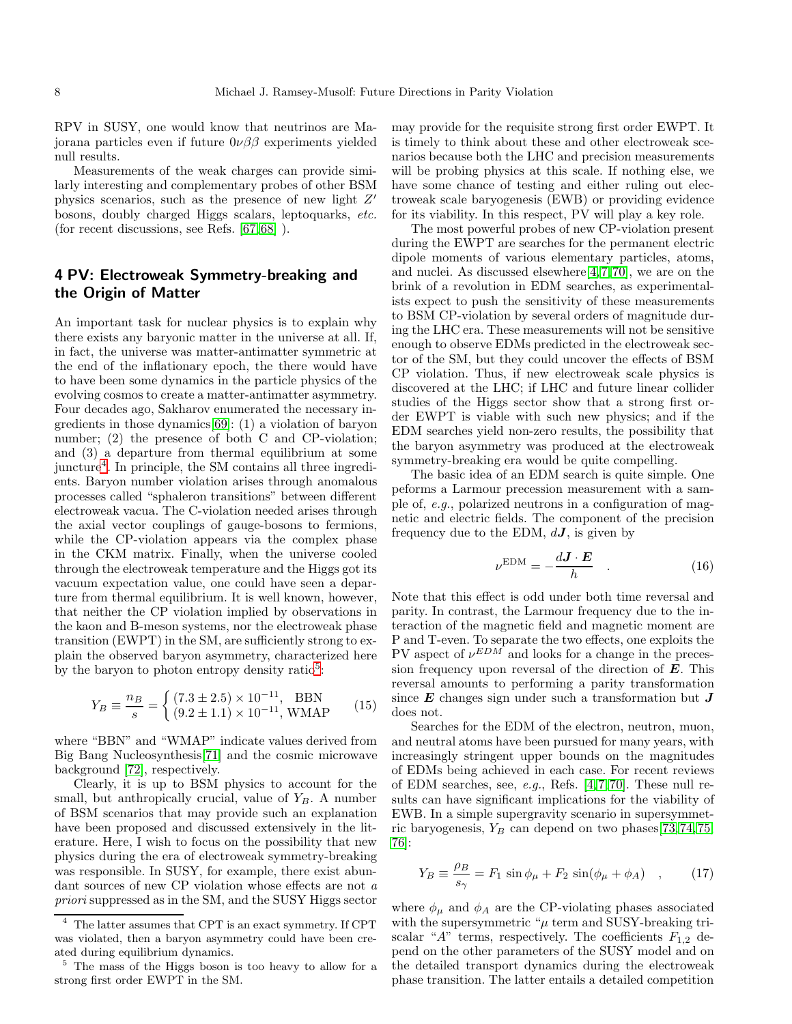RPV in SUSY, one would know that neutrinos are Majorana particles even if future  $0\nu\beta\beta$  experiments yielded null results.

Measurements of the weak charges can provide similarly interesting and complementary probes of other BSM physics scenarios, such as the presence of new light  $Z'$ bosons, doubly charged Higgs scalars, leptoquarks, etc. (for recent discussions, see Refs. [\[67,](#page-9-28)[68\]](#page-9-29) ).

# 4 PV: Electroweak Symmetry-breaking and the Origin of Matter

An important task for nuclear physics is to explain why there exists any baryonic matter in the universe at all. If, in fact, the universe was matter-antimatter symmetric at the end of the inflationary epoch, the there would have to have been some dynamics in the particle physics of the evolving cosmos to create a matter-antimatter asymmetry. Four decades ago, Sakharov enumerated the necessary ingredients in those dynamics[\[69\]](#page-9-30): (1) a violation of baryon number; (2) the presence of both C and CP-violation; and (3) a departure from thermal equilibrium at some juncture[4](#page-7-0) . In principle, the SM contains all three ingredients. Baryon number violation arises through anomalous processes called "sphaleron transitions" between different electroweak vacua. The C-violation needed arises through the axial vector couplings of gauge-bosons to fermions, while the CP-violation appears via the complex phase in the CKM matrix. Finally, when the universe cooled through the electroweak temperature and the Higgs got its vacuum expectation value, one could have seen a departure from thermal equilibrium. It is well known, however, that neither the CP violation implied by observations in the kaon and B-meson systems, nor the electroweak phase transition (EWPT) in the SM, are sufficiently strong to explain the observed baryon asymmetry, characterized here by the baryon to photon entropy density ratio<sup>[5](#page-7-1)</sup>:

$$
Y_B \equiv \frac{n_B}{s} = \begin{cases} (7.3 \pm 2.5) \times 10^{-11}, & \text{BBN} \\ (9.2 \pm 1.1) \times 10^{-11}, & \text{WMAP} \end{cases} \tag{15}
$$

where "BBN" and "WMAP" indicate values derived from Big Bang Nucleosynthesis[\[71\]](#page-9-31) and the cosmic microwave background [\[72\]](#page-9-32), respectively.

Clearly, it is up to BSM physics to account for the small, but anthropically crucial, value of  $Y_B$ . A number of BSM scenarios that may provide such an explanation have been proposed and discussed extensively in the literature. Here, I wish to focus on the possibility that new physics during the era of electroweak symmetry-breaking was responsible. In SUSY, for example, there exist abundant sources of new CP violation whose effects are not a priori suppressed as in the SM, and the SUSY Higgs sector

may provide for the requisite strong first order EWPT. It is timely to think about these and other electroweak scenarios because both the LHC and precision measurements will be probing physics at this scale. If nothing else, we have some chance of testing and either ruling out electroweak scale baryogenesis (EWB) or providing evidence for its viability. In this respect, PV will play a key role.

The most powerful probes of new CP-violation present during the EWPT are searches for the permanent electric dipole moments of various elementary particles, atoms, and nuclei. As discussed elsewhere[\[4,](#page-8-3)[7,](#page-8-6)[70\]](#page-9-33), we are on the brink of a revolution in EDM searches, as experimentalists expect to push the sensitivity of these measurements to BSM CP-violation by several orders of magnitude during the LHC era. These measurements will not be sensitive enough to observe EDMs predicted in the electroweak sector of the SM, but they could uncover the effects of BSM CP violation. Thus, if new electroweak scale physics is discovered at the LHC; if LHC and future linear collider studies of the Higgs sector show that a strong first order EWPT is viable with such new physics; and if the EDM searches yield non-zero results, the possibility that the baryon asymmetry was produced at the electroweak symmetry-breaking era would be quite compelling.

The basic idea of an EDM search is quite simple. One peforms a Larmour precession measurement with a sample of, e.g., polarized neutrons in a configuration of magnetic and electric fields. The component of the precision frequency due to the EDM,  $dJ$ , is given by

$$
\nu^{\rm EDM} = -\frac{d\mathbf{J} \cdot \mathbf{E}}{h} \quad . \tag{16}
$$

Note that this effect is odd under both time reversal and parity. In contrast, the Larmour frequency due to the interaction of the magnetic field and magnetic moment are P and T-even. To separate the two effects, one exploits the PV aspect of  $\nu^{EDM}$  and looks for a change in the precession frequency upon reversal of the direction of  $E$ . This reversal amounts to performing a parity transformation since  $E$  changes sign under such a transformation but  $J$ does not.

Searches for the EDM of the electron, neutron, muon, and neutral atoms have been pursued for many years, with increasingly stringent upper bounds on the magnitudes of EDMs being achieved in each case. For recent reviews of EDM searches, see, e.g., Refs. [\[4,](#page-8-3)[7,](#page-8-6)[70\]](#page-9-33). These null results can have significant implications for the viability of EWB. In a simple supergravity scenario in supersymmetric baryogenesis,  $Y_B$  can depend on two phases [\[73,](#page-9-34)[74,](#page-9-35)[75,](#page-9-36) [76\]](#page-9-37):

$$
Y_B \equiv \frac{\rho_B}{s_\gamma} = F_1 \sin \phi_\mu + F_2 \sin(\phi_\mu + \phi_A) \quad , \tag{17}
$$

where  $\phi_{\mu}$  and  $\phi_{A}$  are the CP-violating phases associated with the supersymmetric " $\mu$  term and SUSY-breaking triscalar "A" terms, respectively. The coefficients  $F_{1,2}$  depend on the other parameters of the SUSY model and on the detailed transport dynamics during the electroweak phase transition. The latter entails a detailed competition

<span id="page-7-0"></span>The latter assumes that CPT is an exact symmetry. If CPT was violated, then a baryon asymmetry could have been created during equilibrium dynamics.

<span id="page-7-1"></span><sup>5</sup> The mass of the Higgs boson is too heavy to allow for a strong first order EWPT in the SM.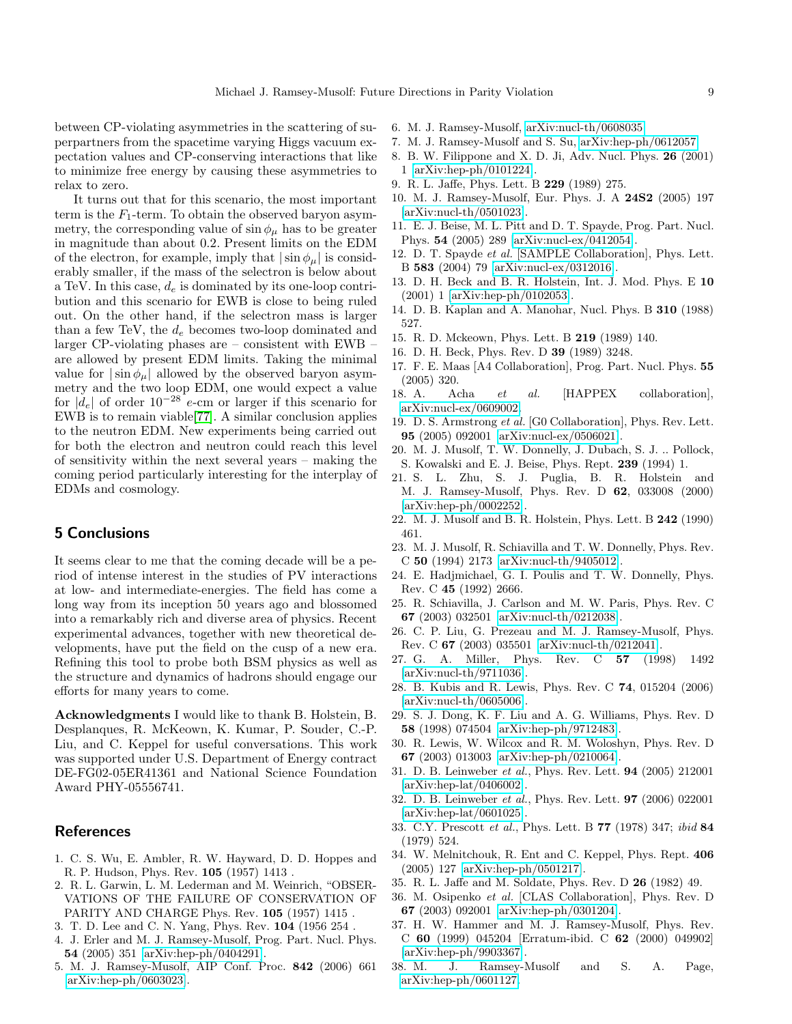between CP-violating asymmetries in the scattering of superpartners from the spacetime varying Higgs vacuum expectation values and CP-conserving interactions that like to minimize free energy by causing these asymmetries to relax to zero.

It turns out that for this scenario, the most important term is the  $F_1$ -term. To obtain the observed baryon asymmetry, the corresponding value of  $\sin \phi_{\mu}$  has to be greater in magnitude than about 0.2. Present limits on the EDM of the electron, for example, imply that  $|\sin \phi_u|$  is considerably smaller, if the mass of the selectron is below about a TeV. In this case,  $d_e$  is dominated by its one-loop contribution and this scenario for EWB is close to being ruled out. On the other hand, if the selectron mass is larger than a few TeV, the  $d_e$  becomes two-loop dominated and larger CP-violating phases are – consistent with EWB – are allowed by present EDM limits. Taking the minimal value for  $|\sin \phi_u|$  allowed by the observed baryon asymmetry and the two loop EDM, one would expect a value for  $|\dot{d}_e|$  of order  $10^{-28}$  e-cm or larger if this scenario for EWB is to remain viable[\[77\]](#page-9-38). A similar conclusion applies to the neutron EDM. New experiments being carried out for both the electron and neutron could reach this level of sensitivity within the next several years – making the coming period particularly interesting for the interplay of EDMs and cosmology.

# 5 Conclusions

It seems clear to me that the coming decade will be a period of intense interest in the studies of PV interactions at low- and intermediate-energies. The field has come a long way from its inception 50 years ago and blossomed into a remarkably rich and diverse area of physics. Recent experimental advances, together with new theoretical developments, have put the field on the cusp of a new era. Refining this tool to probe both BSM physics as well as the structure and dynamics of hadrons should engage our efforts for many years to come.

Acknowledgments I would like to thank B. Holstein, B. Desplanques, R. McKeown, K. Kumar, P. Souder, C.-P. Liu, and C. Keppel for useful conversations. This work was supported under U.S. Department of Energy contract DE-FG02-05ER41361 and National Science Foundation Award PHY-05556741.

## <span id="page-8-0"></span>References

- 1. C. S. Wu, E. Ambler, R. W. Hayward, D. D. Hoppes and R. P. Hudson, Phys. Rev. 105 (1957) 1413 .
- <span id="page-8-1"></span>2. R. L. Garwin, L. M. Lederman and M. Weinrich, "OBSER-VATIONS OF THE FAILURE OF CONSERVATION OF PARITY AND CHARGE Phys. Rev. 105 (1957) 1415 .
- <span id="page-8-3"></span><span id="page-8-2"></span>3. T. D. Lee and C. N. Yang, Phys. Rev. 104 (1956 254 .
- 4. J. Erler and M. J. Ramsey-Musolf, Prog. Part. Nucl. Phys. 54 (2005) 351 [\[arXiv:hep-ph/0404291\]](http://arxiv.org/abs/hep-ph/0404291).
- <span id="page-8-4"></span>5. M. J. Ramsey-Musolf, AIP Conf. Proc. 842 (2006) 661 [\[arXiv:hep-ph/0603023\]](http://arxiv.org/abs/hep-ph/0603023).
- <span id="page-8-6"></span><span id="page-8-5"></span>6. M. J. Ramsey-Musolf, [arXiv:nucl-th/0608035.](http://arxiv.org/abs/nucl-th/0608035)
- <span id="page-8-7"></span>7. M. J. Ramsey-Musolf and S. Su, [arXiv:hep-ph/0612057.](http://arxiv.org/abs/hep-ph/0612057)
- 8. B. W. Filippone and X. D. Ji, Adv. Nucl. Phys. 26 (2001) 1 [\[arXiv:hep-ph/0101224\]](http://arxiv.org/abs/hep-ph/0101224).
- <span id="page-8-9"></span><span id="page-8-8"></span>9. R. L. Jaffe, Phys. Lett. B 229 (1989) 275.
- 10. M. J. Ramsey-Musolf, Eur. Phys. J. A 24S2 (2005) 197 [\[arXiv:nucl-th/0501023\]](http://arxiv.org/abs/nucl-th/0501023).
- <span id="page-8-10"></span>11. E. J. Beise, M. L. Pitt and D. T. Spayde, Prog. Part. Nucl. Phys. 54 (2005) 289 [\[arXiv:nucl-ex/0412054\]](http://arxiv.org/abs/nucl-ex/0412054).
- <span id="page-8-11"></span>12. D. T. Spayde et al. [SAMPLE Collaboration], Phys. Lett. B 583 (2004) 79 [\[arXiv:nucl-ex/0312016\]](http://arxiv.org/abs/nucl-ex/0312016).
- <span id="page-8-12"></span>13. D. H. Beck and B. R. Holstein, Int. J. Mod. Phys. E 10 (2001) 1 [\[arXiv:hep-ph/0102053\]](http://arxiv.org/abs/hep-ph/0102053).
- <span id="page-8-14"></span><span id="page-8-13"></span>14. D. B. Kaplan and A. Manohar, Nucl. Phys. B 310 (1988) 527.
- <span id="page-8-15"></span>15. R. D. Mckeown, Phys. Lett. B 219 (1989) 140.
- <span id="page-8-16"></span>16. D. H. Beck, Phys. Rev. D 39 (1989) 3248.
- 17. F. E. Maas [A4 Collaboration], Prog. Part. Nucl. Phys. 55 (2005) 320.
- <span id="page-8-17"></span>18. A. Acha et al. [HAPPEX collaboration], [arXiv:nucl-ex/0609002.](http://arxiv.org/abs/nucl-ex/0609002)
- <span id="page-8-18"></span>19. D. S. Armstrong et al. [G0 Collaboration], Phys. Rev. Lett. 95 (2005) 092001 [\[arXiv:nucl-ex/0506021\]](http://arxiv.org/abs/nucl-ex/0506021).
- <span id="page-8-19"></span>20. M. J. Musolf, T. W. Donnelly, J. Dubach, S. J. .. Pollock, S. Kowalski and E. J. Beise, Phys. Rept. 239 (1994) 1.
- <span id="page-8-20"></span>21. S. L. Zhu, S. J. Puglia, B. R. Holstein and M. J. Ramsey-Musolf, Phys. Rev. D 62, 033008 (2000) [\[arXiv:hep-ph/0002252\]](http://arxiv.org/abs/hep-ph/0002252).
- <span id="page-8-22"></span><span id="page-8-21"></span>22. M. J. Musolf and B. R. Holstein, Phys. Lett. B 242 (1990) 461.
- 23. M. J. Musolf, R. Schiavilla and T. W. Donnelly, Phys. Rev. C 50 (1994) 2173 [\[arXiv:nucl-th/9405012\]](http://arxiv.org/abs/nucl-th/9405012).
- <span id="page-8-23"></span>24. E. Hadjmichael, G. I. Poulis and T. W. Donnelly, Phys. Rev. C 45 (1992) 2666.
- <span id="page-8-24"></span>25. R. Schiavilla, J. Carlson and M. W. Paris, Phys. Rev. C 67 (2003) 032501 [\[arXiv:nucl-th/0212038\]](http://arxiv.org/abs/nucl-th/0212038).
- <span id="page-8-25"></span>26. C. P. Liu, G. Prezeau and M. J. Ramsey-Musolf, Phys. Rev. C 67 (2003) 035501 [\[arXiv:nucl-th/0212041\]](http://arxiv.org/abs/nucl-th/0212041).
- <span id="page-8-26"></span>27. G. A. Miller, Phys. Rev. C 57 (1998) 1492 [\[arXiv:nucl-th/9711036\]](http://arxiv.org/abs/nucl-th/9711036).
- <span id="page-8-27"></span>28. B. Kubis and R. Lewis, Phys. Rev. C 74, 015204 (2006) [\[arXiv:nucl-th/0605006\]](http://arxiv.org/abs/nucl-th/0605006).
- <span id="page-8-28"></span>29. S. J. Dong, K. F. Liu and A. G. Williams, Phys. Rev. D 58 (1998) 074504 [\[arXiv:hep-ph/9712483\]](http://arxiv.org/abs/hep-ph/9712483).
- <span id="page-8-29"></span>30. R. Lewis, W. Wilcox and R. M. Woloshyn, Phys. Rev. D 67 (2003) 013003 [\[arXiv:hep-ph/0210064\]](http://arxiv.org/abs/hep-ph/0210064).
- <span id="page-8-30"></span>31. D. B. Leinweber et al., Phys. Rev. Lett. 94 (2005) 212001 [\[arXiv:hep-lat/0406002\]](http://arxiv.org/abs/hep-lat/0406002).
- <span id="page-8-31"></span>32. D. B. Leinweber et al., Phys. Rev. Lett. 97 (2006) 022001 [\[arXiv:hep-lat/0601025\]](http://arxiv.org/abs/hep-lat/0601025).
- <span id="page-8-32"></span>33. C.Y. Prescott et al., Phys. Lett. B 77 (1978) 347; ibid 84 (1979) 524.
- <span id="page-8-33"></span>34. W. Melnitchouk, R. Ent and C. Keppel, Phys. Rept. 406 (2005) 127 [\[arXiv:hep-ph/0501217\]](http://arxiv.org/abs/hep-ph/0501217).
- <span id="page-8-35"></span><span id="page-8-34"></span>35. R. L. Jaffe and M. Soldate, Phys. Rev. D 26 (1982) 49.
- 36. M. Osipenko et al. [CLAS Collaboration], Phys. Rev. D 67 (2003) 092001 [\[arXiv:hep-ph/0301204\]](http://arxiv.org/abs/hep-ph/0301204).
- <span id="page-8-36"></span>37. H. W. Hammer and M. J. Ramsey-Musolf, Phys. Rev. C 60 (1999) 045204 [Erratum-ibid. C 62 (2000) 049902] [\[arXiv:hep-ph/9903367\]](http://arxiv.org/abs/hep-ph/9903367).
- <span id="page-8-37"></span>38. M. J. Ramsey-Musolf and S. A. Page, [arXiv:hep-ph/0601127.](http://arxiv.org/abs/hep-ph/0601127)